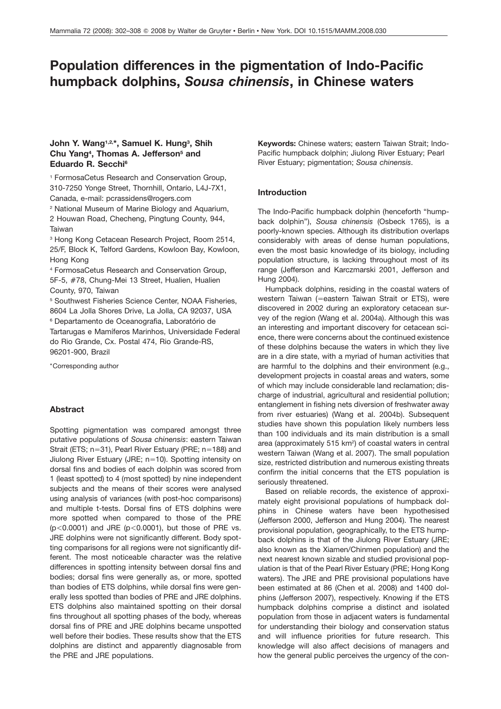# **Population differences in the pigmentation of Indo-Pacific humpback dolphins,** *Sousa chinensis***, in Chinese waters**

# **John Y. Wang1,2,\*, Samuel K. Hung3, Shih Chu Yang4, Thomas A. Jefferson5 and Eduardo R. Secchi6**

<sup>1</sup> FormosaCetus Research and Conservation Group, 310-7250 Yonge Street, Thornhill, Ontario, L4J-7X1, Canada, e-mail: pcrassidens@rogers.com

<sup>2</sup> National Museum of Marine Biology and Aquarium, 2 Houwan Road, Checheng, Pingtung County, 944, Taiwan

<sup>3</sup> Hong Kong Cetacean Research Project, Room 2514, 25/F, Block K, Telford Gardens, Kowloon Bay, Kowloon, Hong Kong

<sup>4</sup> FormosaCetus Research and Conservation Group, 5F-5, #78, Chung-Mei 13 Street, Hualien, Hualien County, 970, Taiwan

<sup>5</sup> Southwest Fisheries Science Center, NOAA Fisheries, 8604 La Jolla Shores Drive, La Jolla, CA 92037, USA <sup>6</sup> Departamento de Oceanografia, Laboratório de Tartarugas e Mamíferos Marinhos, Universidade Federal do Rio Grande, Cx. Postal 474, Rio Grande-RS, 96201-900, Brazil

\*Corresponding author

## **Abstract**

Spotting pigmentation was compared amongst three putative populations of *Sousa chinensis*: eastern Taiwan Strait (ETS; n=31), Pearl River Estuary (PRE; n=188) and Jiulong River Estuary (JRE; n=10). Spotting intensity on dorsal fins and bodies of each dolphin was scored from 1 (least spotted) to 4 (most spotted) by nine independent subjects and the means of their scores were analysed using analysis of variances (with post-hoc comparisons) and multiple t-tests. Dorsal fins of ETS dolphins were more spotted when compared to those of the PRE  $(p<0.0001)$  and JRE  $(p<0.0001)$ , but those of PRE vs. JRE dolphins were not significantly different. Body spotting comparisons for all regions were not significantly different. The most noticeable character was the relative differences in spotting intensity between dorsal fins and bodies; dorsal fins were generally as, or more, spotted than bodies of ETS dolphins, while dorsal fins were generally less spotted than bodies of PRE and JRE dolphins. ETS dolphins also maintained spotting on their dorsal fins throughout all spotting phases of the body, whereas dorsal fins of PRE and JRE dolphins became unspotted well before their bodies. These results show that the ETS dolphins are distinct and apparently diagnosable from the PRE and JRE populations.

**Keywords:** Chinese waters; eastern Taiwan Strait; Indo-Pacific humpback dolphin; Jiulong River Estuary; Pearl River Estuary; pigmentation; *Sousa chinensis*.

## **Introduction**

The Indo-Pacific humpback dolphin (henceforth ''humpback dolphin''), *Sousa chinensis* (Osbeck 1765), is a poorly-known species. Although its distribution overlaps considerably with areas of dense human populations, even the most basic knowledge of its biology, including population structure, is lacking throughout most of its range (Jefferson and Karczmarski 2001, Jefferson and Hung 2004).

Humpback dolphins, residing in the coastal waters of western Taiwan (=eastern Taiwan Strait or ETS), were discovered in 2002 during an exploratory cetacean survey of the region (Wang et al. 2004a). Although this was an interesting and important discovery for cetacean science, there were concerns about the continued existence of these dolphins because the waters in which they live are in a dire state, with a myriad of human activities that are harmful to the dolphins and their environment (e.g., development projects in coastal areas and waters, some of which may include considerable land reclamation; discharge of industrial, agricultural and residential pollution; entanglement in fishing nets diversion of freshwater away from river estuaries) (Wang et al. 2004b). Subsequent studies have shown this population likely numbers less than 100 individuals and its main distribution is a small area (approximately 515 km<sup>2</sup>) of coastal waters in central western Taiwan (Wang et al. 2007). The small population size, restricted distribution and numerous existing threats confirm the initial concerns that the ETS population is seriously threatened.

Based on reliable records, the existence of approximately eight provisional populations of humpback dolphins in Chinese waters have been hypothesised (Jefferson 2000, Jefferson and Hung 2004). The nearest provisional population, geographically, to the ETS humpback dolphins is that of the Jiulong River Estuary (JRE; also known as the Xiamen/Chinmen population) and the next nearest known sizable and studied provisional population is that of the Pearl River Estuary (PRE; Hong Kong waters). The JRE and PRE provisional populations have been estimated at 86 (Chen et al. 2008) and 1400 dolphins (Jefferson 2007), respectively. Knowing if the ETS humpback dolphins comprise a distinct and isolated population from those in adjacent waters is fundamental for understanding their biology and conservation status and will influence priorities for future research. This knowledge will also affect decisions of managers and how the general public perceives the urgency of the con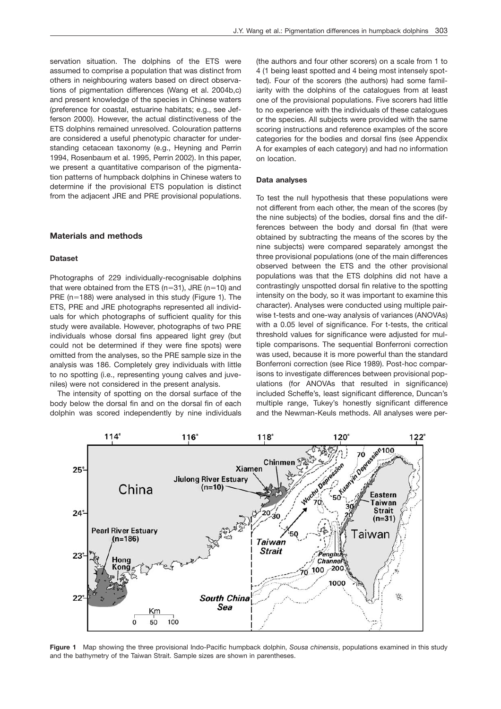servation situation. The dolphins of the ETS were assumed to comprise a population that was distinct from others in neighbouring waters based on direct observations of pigmentation differences (Wang et al. 2004b,c) and present knowledge of the species in Chinese waters (preference for coastal, estuarine habitats; e.g., see Jefferson 2000). However, the actual distinctiveness of the ETS dolphins remained unresolved. Colouration patterns are considered a useful phenotypic character for understanding cetacean taxonomy (e.g., Heyning and Perrin 1994, Rosenbaum et al. 1995, Perrin 2002). In this paper, we present a quantitative comparison of the pigmentation patterns of humpback dolphins in Chinese waters to determine if the provisional ETS population is distinct from the adjacent JRE and PRE provisional populations.

## **Materials and methods**

## **Dataset**

Photographs of 229 individually-recognisable dolphins that were obtained from the ETS (n=31), JRE (n=10) and PRE ( $n=188$ ) were analysed in this study (Figure 1). The ETS, PRE and JRE photographs represented all individuals for which photographs of sufficient quality for this study were available. However, photographs of two PRE individuals whose dorsal fins appeared light grey (but could not be determined if they were fine spots) were omitted from the analyses, so the PRE sample size in the analysis was 186. Completely grey individuals with little to no spotting (i.e., representing young calves and juveniles) were not considered in the present analysis.

The intensity of spotting on the dorsal surface of the body below the dorsal fin and on the dorsal fin of each dolphin was scored independently by nine individuals

(the authors and four other scorers) on a scale from 1 to 4 (1 being least spotted and 4 being most intensely spotted). Four of the scorers (the authors) had some familiarity with the dolphins of the catalogues from at least one of the provisional populations. Five scorers had little to no experience with the individuals of these catalogues or the species. All subjects were provided with the same scoring instructions and reference examples of the score categories for the bodies and dorsal fins (see Appendix A for examples of each category) and had no information on location.

#### **Data analyses**

To test the null hypothesis that these populations were not different from each other, the mean of the scores (by the nine subjects) of the bodies, dorsal fins and the differences between the body and dorsal fin (that were obtained by subtracting the means of the scores by the nine subjects) were compared separately amongst the three provisional populations (one of the main differences observed between the ETS and the other provisional populations was that the ETS dolphins did not have a contrastingly unspotted dorsal fin relative to the spotting intensity on the body, so it was important to examine this character). Analyses were conducted using multiple pairwise t-tests and one-way analysis of variances (ANOVAs) with a 0.05 level of significance. For t-tests, the critical threshold values for significance were adjusted for multiple comparisons. The sequential Bonferroni correction was used, because it is more powerful than the standard Bonferroni correction (see Rice 1989). Post-hoc comparisons to investigate differences between provisional populations (for ANOVAs that resulted in significance) included Scheffe's, least significant difference, Duncan's multiple range, Tukey's honestly significant difference and the Newman-Keuls methods. All analyses were per-



**Figure 1** Map showing the three provisional Indo-Pacific humpback dolphin, *Sousa chinensis*, populations examined in this study and the bathymetry of the Taiwan Strait. Sample sizes are shown in parentheses.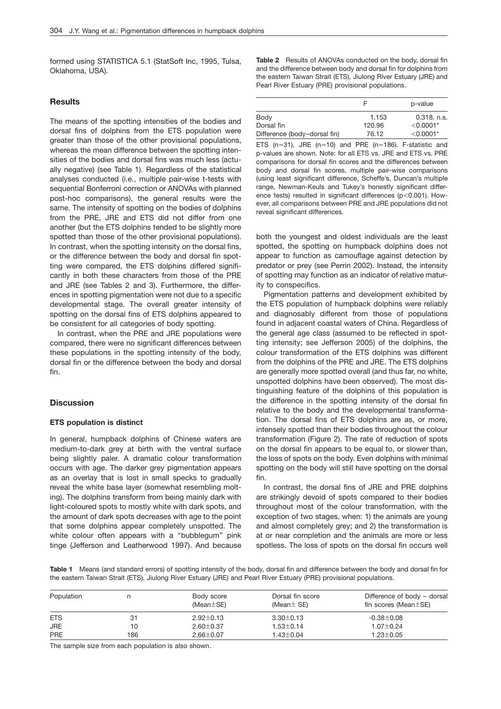formed using STATISTICA 5.1 (StatSoft Inc, 1995, Tulsa, Oklahoma, USA).

## **Results**

The means of the spotting intensities of the bodies and dorsal fins of dolphins from the ETS population were greater than those of the other provisional populations, whereas the mean difference between the spotting intensities of the bodies and dorsal fins was much less (actually negative) (see Table 1). Regardless of the statistical analyses conducted (i.e., multiple pair-wise t-tests with sequential Bonferroni correction or ANOVAs with planned post-hoc comparisons), the general results were the same. The intensity of spotting on the bodies of dolphins from the PRE, JRE and ETS did not differ from one another (but the ETS dolphins tended to be slightly more spotted than those of the other provisional populations). In contrast, when the spotting intensity on the dorsal fins, or the difference between the body and dorsal fin spotting were compared, the ETS dolphins differed significantly in both these characters from those of the PRE and JRE (see Tables 2 and 3). Furthermore, the differences in spotting pigmentation were not due to a specific developmental stage. The overall greater intensity of spotting on the dorsal fins of ETS dolphins appeared to be consistent for all categories of body spotting.

In contrast, when the PRE and JRE populations were compared, there were no significant differences between these populations in the spotting intensity of the body, dorsal fin or the difference between the body and dorsal fin.

#### **Discussion**

#### **ETS population is distinct**

In general, humpback dolphins of Chinese waters are medium-to-dark grey at birth with the ventral surface being slightly paler. A dramatic colour transformation occurs with age. The darker grey pigmentation appears as an overlay that is lost in small specks to gradually reveal the white base layer (somewhat resembling molting). The dolphins transform from being mainly dark with light-coloured spots to mostly white with dark spots, and the amount of dark spots decreases with age to the point that some dolphins appear completely unspotted. The white colour often appears with a "bubblegum" pink tinge (Jefferson and Leatherwood 1997). And because

**Table 2** Results of ANOVAs conducted on the body, dorsal fin and the difference between body and dorsal fin for dolphins from the eastern Taiwan Strait (ETS), Jiulong River Estuary (JRE) and Pearl River Estuary (PRE) provisional populations.

|                              | E      | p-value        |
|------------------------------|--------|----------------|
| Body                         | 1.153  | $0.318$ , n.s. |
| Dorsal fin                   | 120.96 | $< 0.0001*$    |
| Difference (body-dorsal fin) | 76.12  | $<$ 0.0001*    |

ETS (n=31), JRE (n=10) and PRE (n=186). F-statistic and p-values are shown. Note: for all ETS vs. JRE and ETS vs. PRE comparisons for dorsal fin scores and the differences between body and dorsal fin scores, multiple pair-wise comparisons (using least significant difference, Scheffe's, Duncan's multiple range, Newman-Keuls and Tukey's honestly significant difference tests) resulted in significant differences ( $p$ <0.001). However, all comparisons between PRE and JRE populations did not reveal significant differences.

both the youngest and oldest individuals are the least spotted, the spotting on humpback dolphins does not appear to function as camouflage against detection by predator or prey (see Perrin 2002). Instead, the intensity of spotting may function as an indicator of relative maturity to conspecifics.

Pigmentation patterns and development exhibited by the ETS population of humpback dolphins were reliably and diagnosably different from those of populations found in adjacent coastal waters of China. Regardless of the general age class (assumed to be reflected in spotting intensity; see Jefferson 2005) of the dolphins, the colour transformation of the ETS dolphins was different from the dolphins of the PRE and JRE. The ETS dolphins are generally more spotted overall (and thus far, no white, unspotted dolphins have been observed). The most distinguishing feature of the dolphins of this population is the difference in the spotting intensity of the dorsal fin relative to the body and the developmental transformation. The dorsal fins of ETS dolphins are as, or more, intensely spotted than their bodies throughout the colour transformation (Figure 2). The rate of reduction of spots on the dorsal fin appears to be equal to, or slower than, the loss of spots on the body. Even dolphins with minimal spotting on the body will still have spotting on the dorsal fin.

In contrast, the dorsal fins of JRE and PRE dolphins are strikingly devoid of spots compared to their bodies throughout most of the colour transformation, with the exception of two stages, when: 1) the animals are young and almost completely grey; and 2) the transformation is at or near completion and the animals are more or less spotless. The loss of spots on the dorsal fin occurs well

**Table 1** Means (and standard errors) of spotting intensity of the body, dorsal fin and difference between the body and dorsal fin for the eastern Taiwan Strait (ETS), Jiulong River Estuary (JRE) and Pearl River Estuary (PRE) provisional populations.

| Population |     | Body score<br>(Mean $\pm$ SE) | Dorsal fin score<br>(Mean $\pm$ SE) | Difference of body - dorsal<br>fin scores (Mean $\pm$ SE) |
|------------|-----|-------------------------------|-------------------------------------|-----------------------------------------------------------|
| <b>ETS</b> |     | $2.92 \pm 0.13$               | $3.30 \pm 0.13$                     | $-0.38 \pm 0.08$                                          |
| <b>JRE</b> | 10  | $2.60 \pm 0.37$               | $1.53 + 0.14$                       | $1.07 + 0.24$                                             |
| <b>PRE</b> | 186 | $2.66 \pm 0.07$               | $1.43 \pm 0.04$                     | $1.23 \pm 0.05$                                           |

The sample size from each population is also shown.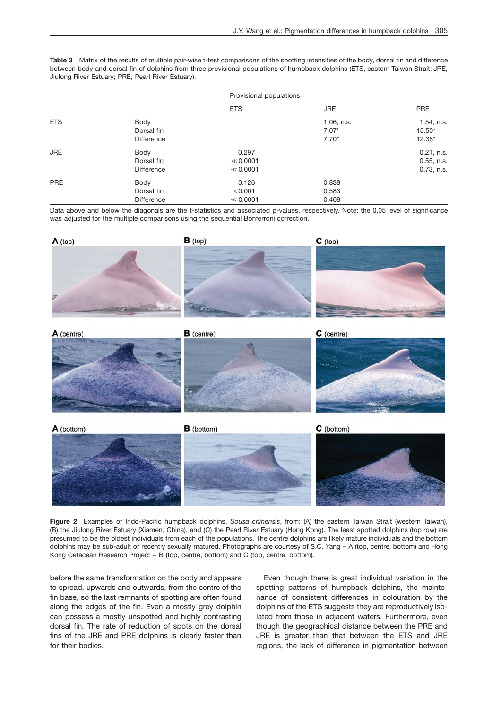**Table 3** Matrix of the results of multiple pair-wise t-test comparisons of the spotting intensities of the body, dorsal fin and difference between body and dorsal fin of dolphins from three provisional populations of humpback dolphins (ETS, eastern Taiwan Strait; JRE, Jiulong River Estuary; PRE, Pearl River Estuary).

|            |                                         | Provisional populations               |                                  |                                              |  |
|------------|-----------------------------------------|---------------------------------------|----------------------------------|----------------------------------------------|--|
|            |                                         | <b>ETS</b>                            | <b>JRE</b>                       | <b>PRE</b>                                   |  |
| <b>ETS</b> | Body<br>Dorsal fin<br><b>Difference</b> |                                       | 1.06, n.s.<br>$7.07*$<br>$7.70*$ | 1.54, n.s.<br>$15.50*$<br>$12.38*$           |  |
| <b>JRE</b> | Body<br>Dorsal fin<br><b>Difference</b> | 0.297<br>$\ll 0.0001$<br>$\ll 0.0001$ |                                  | $0.21$ , n.s.<br>$0.55$ , n.s.<br>0.73, n.s. |  |
| <b>PRE</b> | Body<br>Dorsal fin<br><b>Difference</b> | 0.126<br>< 0.001<br>$\ll 0.0001$      | 0.838<br>0.583<br>0.468          |                                              |  |

Data above and below the diagonals are the t-statistics and associated p-values, respectively. Note: the 0.05 level of significance was adjusted for the multiple comparisons using the sequential Bonferroni correction.



**Figure 2** Examples of Indo-Pacific humpback dolphins, *Sousa chinensis*, from: (A) the eastern Taiwan Strait (western Taiwan), (B) the Jiulong River Estuary (Xiamen, China), and (C) the Pearl River Estuary (Hong Kong). The least spotted dolphins (top row) are presumed to be the oldest individuals from each of the populations. The centre dolphins are likely mature individuals and the bottom dolphins may be sub-adult or recently sexually matured. Photographs are courtesy of S.C. Yang – A (top, centre, bottom) and Hong Kong Cetacean Research Project – B (top, centre, bottom) and C (top, centre, bottom).

before the same transformation on the body and appears to spread, upwards and outwards, from the centre of the fin base, so the last remnants of spotting are often found along the edges of the fin. Even a mostly grey dolphin can possess a mostly unspotted and highly contrasting dorsal fin. The rate of reduction of spots on the dorsal fins of the JRE and PRE dolphins is clearly faster than for their bodies.

Even though there is great individual variation in the spotting patterns of humpback dolphins, the maintenance of consistent differences in colouration by the dolphins of the ETS suggests they are reproductively isolated from those in adjacent waters. Furthermore, even though the geographical distance between the PRE and JRE is greater than that between the ETS and JRE regions, the lack of difference in pigmentation between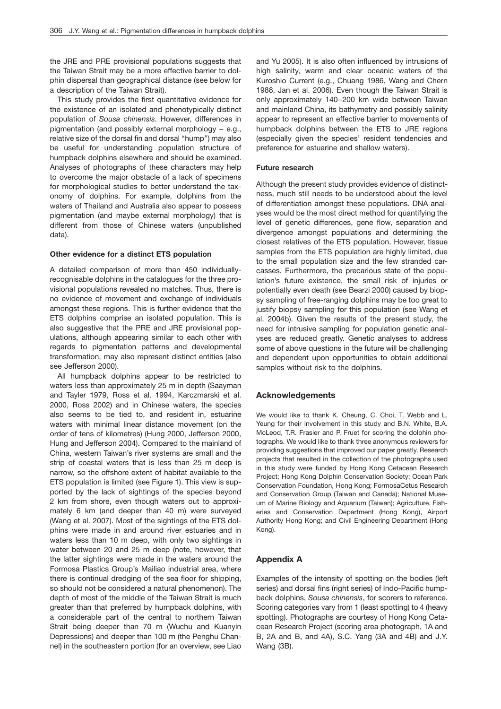the JRE and PRE provisional populations suggests that the Taiwan Strait may be a more effective barrier to dolphin dispersal than geographical distance (see below for a description of the Taiwan Strait).

This study provides the first quantitative evidence for the existence of an isolated and phenotypically distinct population of *Sousa chinensis*. However, differences in pigmentation (and possibly external morphology – e.g., relative size of the dorsal fin and dorsal ''hump'') may also be useful for understanding population structure of humpback dolphins elsewhere and should be examined. Analyses of photographs of these characters may help to overcome the major obstacle of a lack of specimens for morphological studies to better understand the taxonomy of dolphins. For example, dolphins from the waters of Thailand and Australia also appear to possess pigmentation (and maybe external morphology) that is different from those of Chinese waters (unpublished data).

#### **Other evidence for a distinct ETS population**

A detailed comparison of more than 450 individuallyrecognisable dolphins in the catalogues for the three provisional populations revealed no matches. Thus, there is no evidence of movement and exchange of individuals amongst these regions. This is further evidence that the ETS dolphins comprise an isolated population. This is also suggestive that the PRE and JRE provisional populations, although appearing similar to each other with regards to pigmentation patterns and developmental transformation, may also represent distinct entities (also see Jefferson 2000).

All humpback dolphins appear to be restricted to waters less than approximately 25 m in depth (Saayman and Tayler 1979, Ross et al. 1994, Karczmarski et al. 2000, Ross 2002) and in Chinese waters, the species also seems to be tied to, and resident in, estuarine waters with minimal linear distance movement (on the order of tens of kilometres) (Hung 2000, Jefferson 2000, Hung and Jefferson 2004). Compared to the mainland of China, western Taiwan's river systems are small and the strip of coastal waters that is less than 25 m deep is narrow, so the offshore extent of habitat available to the ETS population is limited (see Figure 1). This view is supported by the lack of sightings of the species beyond 2 km from shore, even though waters out to approximately 6 km (and deeper than 40 m) were surveyed (Wang et al. 2007). Most of the sightings of the ETS dolphins were made in and around river estuaries and in waters less than 10 m deep, with only two sightings in water between 20 and 25 m deep (note, however, that the latter sightings were made in the waters around the Formosa Plastics Group's Mailiao industrial area, where there is continual dredging of the sea floor for shipping, so should not be considered a natural phenomenon). The depth of most of the middle of the Taiwan Strait is much greater than that preferred by humpback dolphins, with a considerable part of the central to northern Taiwan Strait being deeper than 70 m (Wuchu and Kuanyin Depressions) and deeper than 100 m (the Penghu Channel) in the southeastern portion (for an overview, see Liao

and Yu 2005). It is also often influenced by intrusions of high salinity, warm and clear oceanic waters of the Kuroshio Current (e.g., Chuang 1986, Wang and Chern 1988, Jan et al. 2006). Even though the Taiwan Strait is only approximately 140–200 km wide between Taiwan and mainland China, its bathymetry and possibly salinity appear to represent an effective barrier to movements of humpback dolphins between the ETS to JRE regions (especially given the species' resident tendencies and preference for estuarine and shallow waters).

#### **Future research**

Although the present study provides evidence of distinctness, much still needs to be understood about the level of differentiation amongst these populations. DNA analyses would be the most direct method for quantifying the level of genetic differences, gene flow, separation and divergence amongst populations and determining the closest relatives of the ETS population. However, tissue samples from the ETS population are highly limited, due to the small population size and the few stranded carcasses. Furthermore, the precarious state of the population's future existence, the small risk of injuries or potentially even death (see Bearzi 2000) caused by biopsy sampling of free-ranging dolphins may be too great to justify biopsy sampling for this population (see Wang et al. 2004b). Given the results of the present study, the need for intrusive sampling for population genetic analyses are reduced greatly. Genetic analyses to address some of above questions in the future will be challenging and dependent upon opportunities to obtain additional samples without risk to the dolphins.

## **Acknowledgements**

We would like to thank K. Cheung, C. Choi, T. Webb and L. Yeung for their involvement in this study and B.N. White, B.A. McLeod, T.R. Frasier and P. Fruet for scoring the dolphin photographs. We would like to thank three anonymous reviewers for providing suggestions that improved our paper greatly. Research projects that resulted in the collection of the photographs used in this study were funded by Hong Kong Cetacean Research Project; Hong Kong Dolphin Conservation Society; Ocean Park Conservation Foundation, Hong Kong; FormosaCetus Research and Conservation Group (Taiwan and Canada); National Museum of Marine Biology and Aquarium (Taiwan); Agriculture, Fisheries and Conservation Department (Hong Kong), Airport Authority Hong Kong; and Civil Engineering Department (Hong Kong).

## **Appendix A**

Examples of the intensity of spotting on the bodies (left series) and dorsal fins (right series) of Indo-Pacific humpback dolphins, *Sousa chinensis*, for scorers to reference. Scoring categories vary from 1 (least spotting) to 4 (heavy spotting). Photographs are courtesy of Hong Kong Cetacean Research Project (scoring area photograph, 1A and B, 2A and B, and 4A), S.C. Yang (3A and 4B) and J.Y. Wang (3B).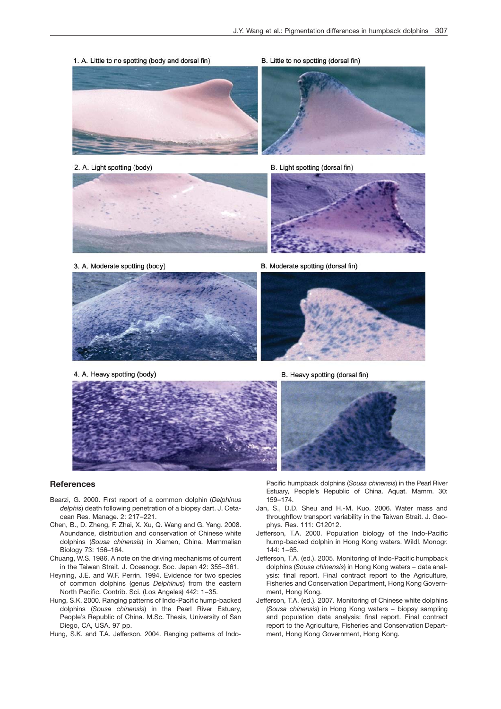1. A. Little to no spotting (body and dorsal fin)



2. A. Light spotting (body)



B. Little to no spotting (dorsal fin)



B. Light spotting (dorsal fin)



3. A. Moderate spotting (body)



B. Moderate spotting (dorsal fin)



B. Heavy spotting (dorsal fin)



## **References**

- Bearzi, G. 2000. First report of a common dolphin (*Delphinus delphis*) death following penetration of a biopsy dart. J. Cetacean Res. Manage. 2: 217–221.
- Chen, B., D. Zheng, F. Zhai, X. Xu, Q. Wang and G. Yang. 2008. Abundance, distribution and conservation of Chinese white dolphins (*Sousa chinensis*) in Xiamen, China. Mammalian Biology 73: 156–164.
- Chuang, W.S. 1986. A note on the driving mechanisms of current in the Taiwan Strait. J. Oceanogr. Soc. Japan 42: 355–361.
- Heyning, J.E. and W.F. Perrin. 1994. Evidence for two species of common dolphins (genus *Delphinus*) from the eastern North Pacific. Contrib. Sci. (Los Angeles) 442: 1–35.
- Hung, S.K. 2000. Ranging patterns of Indo-Pacific hump-backed dolphins (*Sousa chinensis*) in the Pearl River Estuary, People's Republic of China. M.Sc. Thesis, University of San Diego, CA, USA. 97 pp.
- Hung, S.K. and T.A. Jefferson. 2004. Ranging patterns of Indo-

Pacific humpback dolphins (*Sousa chinensis*) in the Pearl River Estuary, People's Republic of China. Aquat. Mamm. 30: 159–174.

- Jan, S., D.D. Sheu and H.-M. Kuo. 2006. Water mass and throughflow transport variability in the Taiwan Strait. J. Geophys. Res. 111: C12012.
- Jefferson, T.A. 2000. Population biology of the Indo-Pacific hump-backed dolphin in Hong Kong waters. Wildl. Monogr. 144: 1–65.
- Jefferson, T.A. (ed.). 2005. Monitoring of Indo-Pacific humpback dolphins (*Sousa chinensis*) in Hong Kong waters – data analysis: final report. Final contract report to the Agriculture, Fisheries and Conservation Department, Hong Kong Government, Hong Kong.
- Jefferson, T.A. (ed.). 2007. Monitoring of Chinese white dolphins (*Sousa chinensis*) in Hong Kong waters – biopsy sampling and population data analysis: final report. Final contract report to the Agriculture, Fisheries and Conservation Department, Hong Kong Government, Hong Kong.